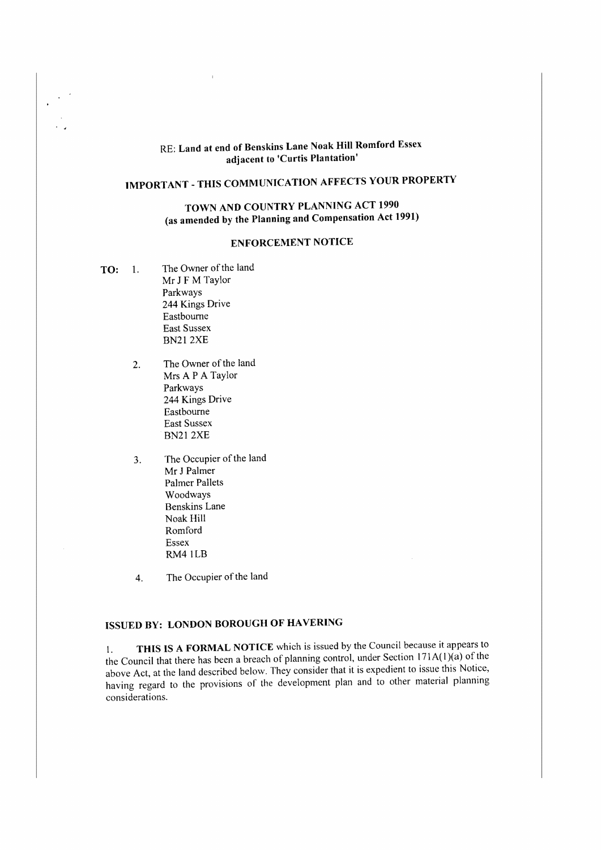# RE: Land at end of Benskins Lane Noak Hill Romford Essex adjacent to 'Curtis Plantation'

# **IMPORTANT - THIS COMMUNICATION AFFECTS YOUR PROPERTY**

## **TOWN AND COUNTRY PLANNING ACT 1990 (as amended by the Planning and Compensation Act 1991)**

### **ENFORCEMENT NOTICE**

- **TO:** 1. The Owner of the land Mr J **F M** Taylor Parkways 244 Kings Drive Eastbourne East Sussex BN212XE
	- 2. The Owner of the land Mrs A P A Taylor Parkways 244 Kings Drive Eastbourne East Sussex BN212XE
	- 3. The Occupier of the land Mr J Palmer Palmer Pallets Woodways Benskins Lane Noak Hill Romford Essex RM4 1LB
	- 4. The Occupier of the land

# **ISSUED BY: LONDON BOROUGH OF HAVERING**

I. **THIS IS A FORMAL NOTICE** which is issued by the Council because it appears to the Council that there has been a breach of planning control, under Section  $171A(1)(a)$  of the above Act, at the land described below. They consider that it is expedient to issue this Notice, having regard to the provisions of the development plan and to other material planning considerations.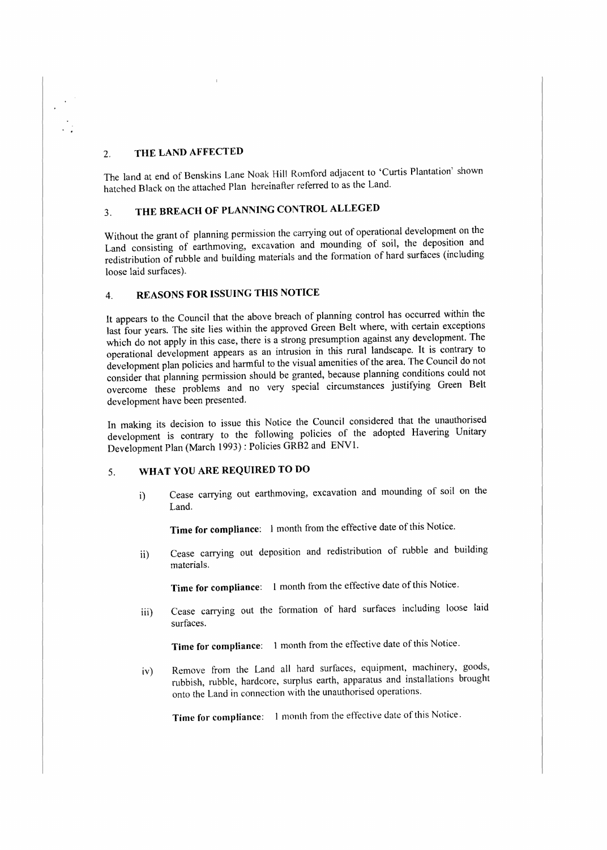### 2. **THE LAND AFFECTED**

The land at end of Benskins Lane Noak Hill Romford adjacent to 'Curtis Plantation' shown hatched Black on the attached Plan hereinafter referred to as the Land.

# 3. **THE BREACH OF PLANNING CONTROL ALLEGED**

Without the grant of planning permission the carrying out of operational development on the Land consisting of earthmoving, excavation and mounding of soil, the deposition and redistribution of rubble and building materials and the formation of hard surfaces (including loose laid surfaces).

### 4. **REASONS FOR ISSUING THIS NOTICE**

It appears to the Council that the above breach of planning control has occurred within the last four years. The site lies within the approved Green Belt where, with certain exceptions which do not apply in this case, there is a strong presumption against any development. The operational development appears as an intrusion in this rural landscape. It is contrary to development plan policies and harmful to the visual amenities ofthe area. The Council do not consider that planning permission should be granted, because planning conditions could not overcome these problems and no very special circumstances justifying Green Belt development have been presented.

In making its decision to issue this Notice the Council considered that the unauthorised development is contrary to the following policies of the adopted Havering Unitary Development Plan (March 1993) : Policies GRB2 and ENVl.

### 5. **WHAT YOU ARE REQUIRED TO DO**

i) Cease carrying out earthmoving, excavation and mounding of soil on the Land.

**Time for compliance:** 1 month from the effective date of this Notice.

ii) Cease carrying out deposition and redistribution of rubble and building materials.

**Time for compliance:** L month from the effective date of this Notice.

iii) Cease carrying out the formation of hard surfaces including loose laid surfaces.

**Time for compliance:** 1 month from the effective date of this Notice.

iv) Remove from the Land all hard surfaces, equipment, machinery, goods, rubbish, rubble, hardcore, surplus earth, apparatus and installations brought onto the Land in connection with the unauthorised operations.

**Time for compliance:** I month from the effective date of this Notice.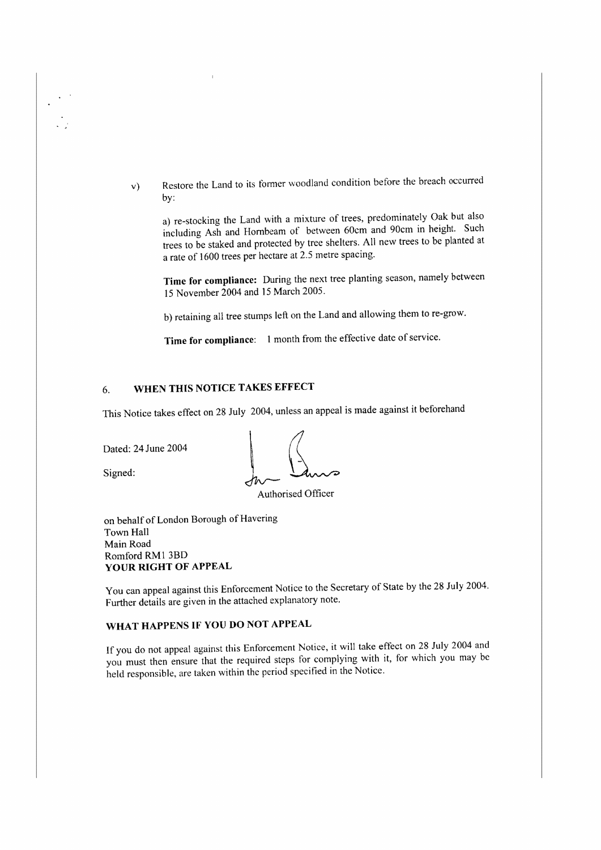v) Restore the Land to its former woodland condition before the breach occurred by:

a) re-stocking the Land with a mixture of trees, predominately Oak but also including Ash and Hornbeam of between 60cm and 90cm in height. Such trees to be staked and protected by tree shelters. All new trees to be planted at a rate of 1600 trees per hectare at 2.5 metre spacing.

**Time for compliance:** During the next tree planting season, namely between 15 November 2004 and 15 March 2005.

b) retaining all tree stumps left on the Land and allowing them to re-grow.

**Time for compliance:** I month from the effective date of service.

# 6. **WHEN THIS NOTICE TAKES EFFECT**

Dated: 24 June 2004

This Notice takes effect on 28 July 2004, unless an appeal is made against it beforehand<br>
Dated: 24 June 2004<br>
Signed:<br>
Authorised Officer

Authorised Officer

on behalf of London Borough of Havering Town Hall Main Road Romford RM1 3BD **YOUR RIGHT OF APPEAL** 

You can appeal against this Enforcement Notice to the Secretary of State by the 28 July 2004. Further details are given in the attached explanatory note.

# **WHAT HAPPENS IF YOU DO NOT APPEAL**

If you do not appeal against this Enforcement Notice, it will take effect on 28 July 2004 and you must then ensure that the required steps for complying with it, for which you may be held responsible, are taken within the period specified in the Notice.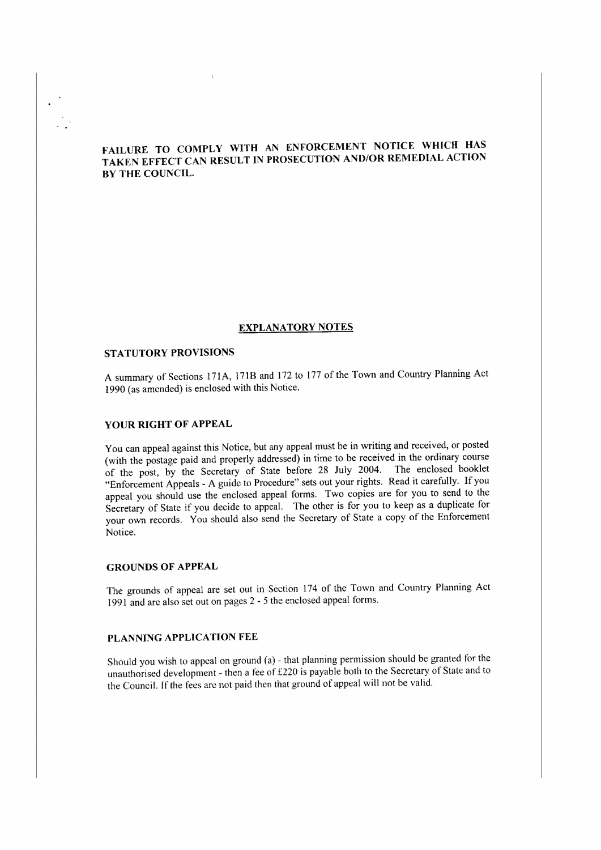### **FAlLURE TO COMPLY WITH AN ENFORCEMENT NOTICE WHICH HAS**  TAKEN EFFECT CAN RESULT IN PROSECUTION AND/OR REMEDIAL ACTION **BY THE COUNClL.**

#### **EXPLANATORY NOTES**

#### **STATUTORY PROVISIONS**

A summary of Sections 171A, 171B and 172 to 177 of the Town and Country Planning Act 1990 (as amended) is enclosed with this Notice.

#### **YOUR RIGHT OF APPEAL**

You can appeal against this Notice, but any appeal must be in writing and received, or posted (with the postage paid and properly addressed) in time to be received in the ordinary course of the post, by the Secretary of State before 28 July 2004. The enclosed booklet "Enforcement Appeals - A guide to Procedure'' sets out your rights. Read it carefully. If you appeal you should use the enclosed appeal forms. Two copies are for you to send to the Secretary of State if you decide to appeal. The other is for you to keep as a duplicate for your own records. You should also send the Secretary of State a copy of the Enforcement Notice.

#### **GROUNDS OF APPEAL**

The grounds of appeal are set out in Section 174 of the Town and Country Planning Act 1991 and are also set out on pages 2 - 5 the enclosed appeal forms.

#### **PLANNING APPLICATION FEE**

Should you wish to appeal on ground (a) - that planning permission should be granted for the unauthorised development - then a fee of £220 is payable both to the Secretary of State and to the Council. If the fees are not paid then that ground of appeal will not be valid.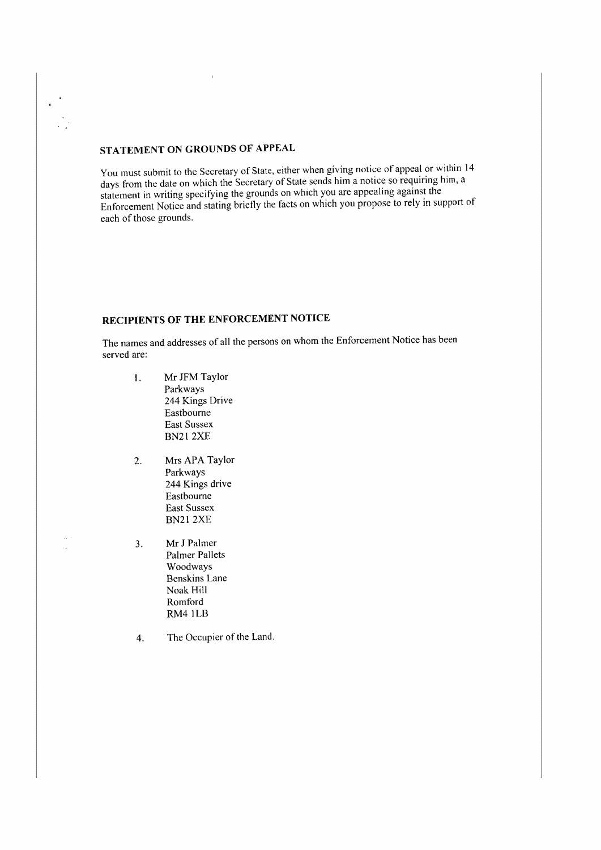# **STATEMENT ON GROUNDS OF APPEAL**

You must submit to the Secretary of State, either when giving notice of appeal or within 14 days from the date on which the Secretary of State sends him a notice so requiring him, a statement in writing specifying the grounds on which you are appealing against the Enforcement Notice and stating briefly the facts on which you propose to rely in support of each of those grounds.

#### **RECIPIENTS OF THE ENFORCEMENT NOTICE**

The names and addresses of all the persons on whom the Enforcement Notice has been served arc:

- I. Mr JFM Taylor Parkways 244 Kings Drive Eastbourne East Sussex BN212XF
- 2. Mrs APA Taylor Parkways 244 Kings drive Eastbourne East Sussex BN212XE
- 3. Mr J Palmer Palmer Pallets Woodways Benskins Lane Noak Hill Romford RM4 1LB
- 4. The Occupier of the Land.